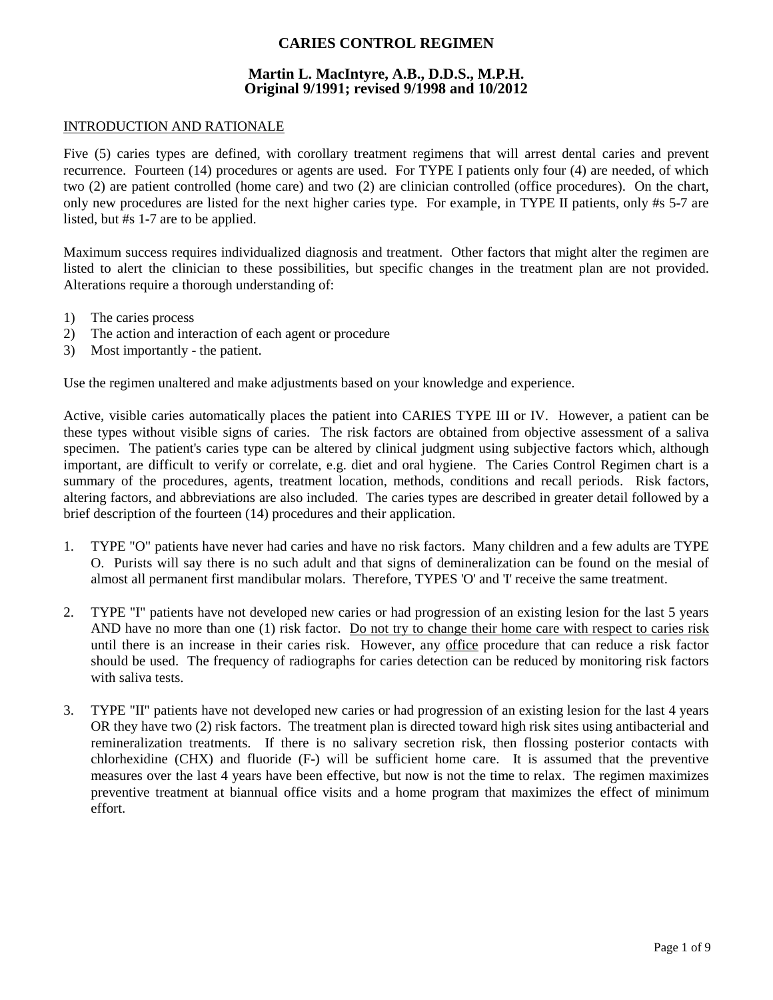# **CARIES CONTROL REGIMEN**

# **Martin L. MacIntyre, A.B., D.D.S., M.P.H. Original 9/1991; revised 9/1998 and 10/2012**

#### INTRODUCTION AND RATIONALE

Five (5) caries types are defined, with corollary treatment regimens that will arrest dental caries and prevent recurrence. Fourteen (14) procedures or agents are used. For TYPE I patients only four (4) are needed, of which two (2) are patient controlled (home care) and two (2) are clinician controlled (office procedures). On the chart, only new procedures are listed for the next higher caries type. For example, in TYPE II patients, only #s 5-7 are listed, but #s 1-7 are to be applied.

Maximum success requires individualized diagnosis and treatment. Other factors that might alter the regimen are listed to alert the clinician to these possibilities, but specific changes in the treatment plan are not provided. Alterations require a thorough understanding of:

- 1) The caries process
- 2) The action and interaction of each agent or procedure
- 3) Most importantly the patient.

Use the regimen unaltered and make adjustments based on your knowledge and experience.

Active, visible caries automatically places the patient into CARIES TYPE III or IV. However, a patient can be these types without visible signs of caries. The risk factors are obtained from objective assessment of a saliva specimen. The patient's caries type can be altered by clinical judgment using subjective factors which, although important, are difficult to verify or correlate, e.g. diet and oral hygiene. The Caries Control Regimen chart is a summary of the procedures, agents, treatment location, methods, conditions and recall periods. Risk factors, altering factors, and abbreviations are also included. The caries types are described in greater detail followed by a brief description of the fourteen (14) procedures and their application.

- 1. TYPE "O" patients have never had caries and have no risk factors. Many children and a few adults are TYPE O. Purists will say there is no such adult and that signs of demineralization can be found on the mesial of almost all permanent first mandibular molars. Therefore, TYPES 'O' and 'I' receive the same treatment.
- 2. TYPE "I" patients have not developed new caries or had progression of an existing lesion for the last 5 years AND have no more than one (1) risk factor. Do not try to change their home care with respect to caries risk until there is an increase in their caries risk. However, any office procedure that can reduce a risk factor should be used. The frequency of radiographs for caries detection can be reduced by monitoring risk factors with saliva tests.
- 3. TYPE "II" patients have not developed new caries or had progression of an existing lesion for the last 4 years OR they have two (2) risk factors. The treatment plan is directed toward high risk sites using antibacterial and remineralization treatments. If there is no salivary secretion risk, then flossing posterior contacts with chlorhexidine (CHX) and fluoride (F-) will be sufficient home care. It is assumed that the preventive measures over the last 4 years have been effective, but now is not the time to relax. The regimen maximizes preventive treatment at biannual office visits and a home program that maximizes the effect of minimum effort.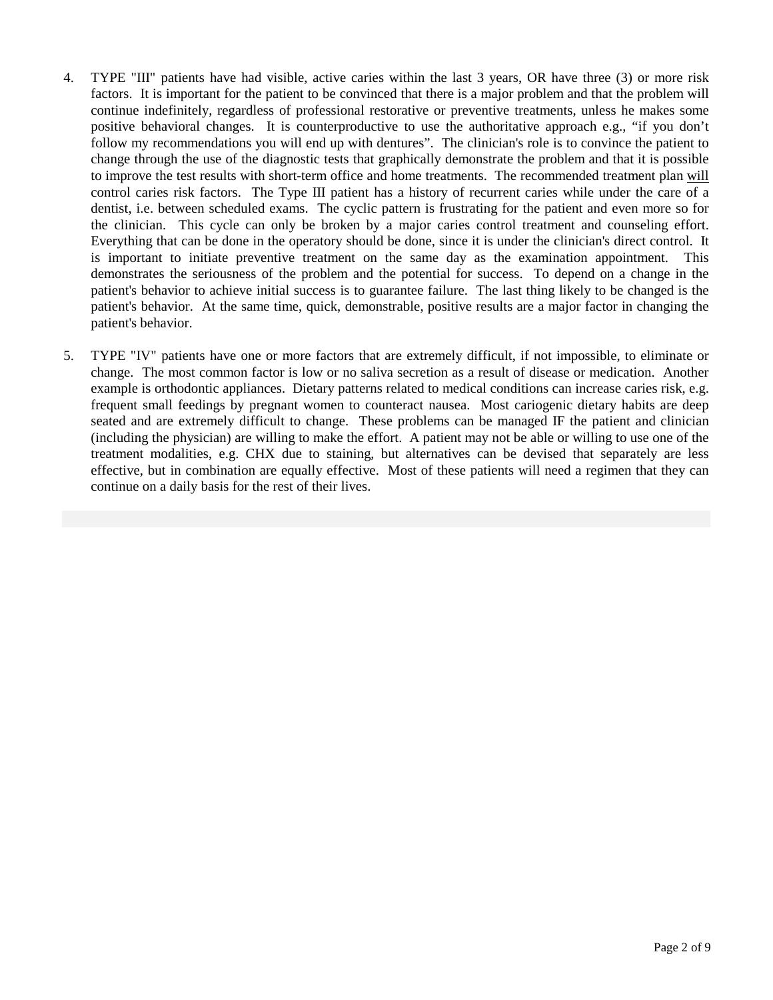- 4. TYPE "III" patients have had visible, active caries within the last 3 years, OR have three (3) or more risk factors. It is important for the patient to be convinced that there is a major problem and that the problem will continue indefinitely, regardless of professional restorative or preventive treatments, unless he makes some positive behavioral changes. It is counterproductive to use the authoritative approach e.g., "if you don't follow my recommendations you will end up with dentures". The clinician's role is to convince the patient to change through the use of the diagnostic tests that graphically demonstrate the problem and that it is possible to improve the test results with short-term office and home treatments. The recommended treatment plan will control caries risk factors. The Type III patient has a history of recurrent caries while under the care of a dentist, i.e. between scheduled exams. The cyclic pattern is frustrating for the patient and even more so for the clinician. This cycle can only be broken by a major caries control treatment and counseling effort. Everything that can be done in the operatory should be done, since it is under the clinician's direct control. It is important to initiate preventive treatment on the same day as the examination appointment. This demonstrates the seriousness of the problem and the potential for success. To depend on a change in the patient's behavior to achieve initial success is to guarantee failure. The last thing likely to be changed is the patient's behavior. At the same time, quick, demonstrable, positive results are a major factor in changing the patient's behavior.
- 5. TYPE "IV" patients have one or more factors that are extremely difficult, if not impossible, to eliminate or change. The most common factor is low or no saliva secretion as a result of disease or medication. Another example is orthodontic appliances. Dietary patterns related to medical conditions can increase caries risk, e.g. frequent small feedings by pregnant women to counteract nausea. Most cariogenic dietary habits are deep seated and are extremely difficult to change. These problems can be managed IF the patient and clinician (including the physician) are willing to make the effort. A patient may not be able or willing to use one of the treatment modalities, e.g. CHX due to staining, but alternatives can be devised that separately are less effective, but in combination are equally effective. Most of these patients will need a regimen that they can continue on a daily basis for the rest of their lives.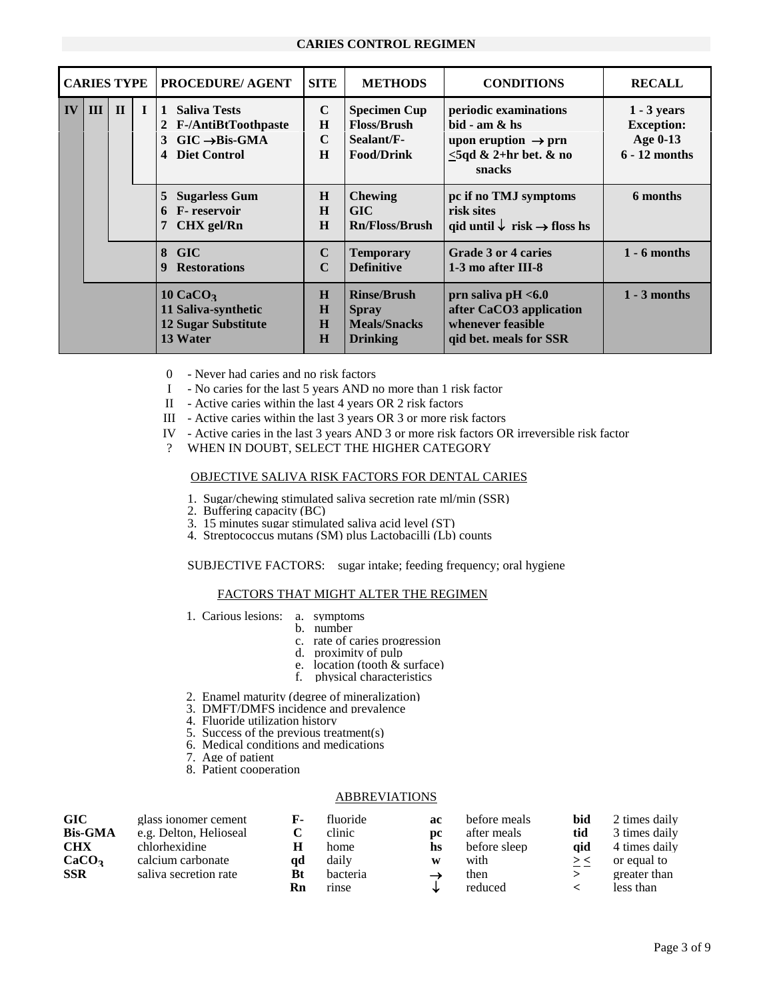#### **CARIES CONTROL REGIMEN**

|    | <b>CARIES TYPE</b> |             | <b>PROCEDURE/ AGENT</b>                                                                                                    | <b>SITE</b>                          | <b>METHODS</b>                                                               | <b>CONDITIONS</b>                                                                                                    | <b>RECALL</b>                                                     |
|----|--------------------|-------------|----------------------------------------------------------------------------------------------------------------------------|--------------------------------------|------------------------------------------------------------------------------|----------------------------------------------------------------------------------------------------------------------|-------------------------------------------------------------------|
| IV | $III \mid II$      | $\mathbf I$ | <b>Saliva Tests</b><br>$\mathbf{1}$<br>2 F-/AntiBtToothpaste<br>$GIC \rightarrow Bis-GMA$<br>3<br><b>Diet Control</b><br>4 | $\mathbf C$<br>H<br>$\mathbf C$<br>H | <b>Specimen Cup</b><br><b>Floss/Brush</b><br>Sealant/F-<br><b>Food/Drink</b> | periodic examinations<br>$bid - am & hs$<br>upon eruption $\rightarrow$ prn<br>$\leq$ 5qd & 2+hr bet. & no<br>snacks | $1 - 3$ years<br><b>Exception:</b><br>Age 0-13<br>$6 - 12$ months |
|    |                    |             | <b>Sugarless Gum</b><br>5<br>6 F- reservoir<br>CHX gel/Rn<br>7                                                             | H<br>H<br>H                          | <b>Chewing</b><br><b>GIC</b><br><b>Rn/Floss/Brush</b>                        | pc if no TMJ symptoms<br>risk sites<br>qid until $\downarrow$ risk $\rightarrow$ floss hs                            | 6 months                                                          |
|    |                    |             | 8 GIC<br><b>Restorations</b><br>9                                                                                          | $\mathbf C$<br>$\mathbf C$           | <b>Temporary</b><br><b>Definitive</b>                                        | Grade 3 or 4 caries<br>1-3 mo after III-8                                                                            | $1 - 6$ months                                                    |
|    |                    |             | $10 \text{ CaCO}_2$<br>11 Saliva-synthetic<br><b>12 Sugar Substitute</b><br>13 Water                                       | H<br>$\bf{H}$<br>H<br>H              | <b>Rinse/Brush</b><br><b>Spray</b><br><b>Meals/Snacks</b><br><b>Drinking</b> | prn saliva pH $< 6.0$<br>after CaCO3 application<br>whenever feasible<br>qid bet. meals for SSR                      | $1 - 3$ months                                                    |

- 0 Never had caries and no risk factors
- I No caries for the last 5 years AND no more than 1 risk factor
- II Active caries within the last 4 years OR 2 risk factors
- III Active caries within the last 3 years OR 3 or more risk factors
- IV Active caries in the last 3 years AND 3 or more risk factors OR irreversible risk factor
- ? WHEN IN DOUBT, SELECT THE HIGHER CATEGORY

#### OBJECTIVE SALIVA RISK FACTORS FOR DENTAL CARIES

- 1. Sugar/chewing stimulated saliva secretion rate ml/min (SSR)
- 2. Buffering capacity (BC)
- 3. 15 minutes sugar stimulated saliva acid level (ST)
- 4. Streptococcus mutans (SM) plus Lactobacilli (Lb) counts

SUBJECTIVE FACTORS: sugar intake; feeding frequency; oral hygiene

#### FACTORS THAT MIGHT ALTER THE REGIMEN

- 1. Carious lesions: a. symptoms
	- b. number
	- c. rate of caries progression
	- d. proximity of pulp
	- e. location (tooth & surface)
	- f. physical characteristics
- 2. Enamel maturity (degree of mineralization)
- 3. DMFT/DMFS incidence and prevalence
- 4. Fluoride utilization history
- 5. Success of the previous treatment(s)
- 6. Medical conditions and medications
- 7. Age of patient
- 8. Patient cooperation

#### **ABBREVIATIONS**

| GIC               | glass ionomer cement   | F- | fluoride | ac  | before meals | bid | 2 times daily |
|-------------------|------------------------|----|----------|-----|--------------|-----|---------------|
| <b>Bis-GMA</b>    | e.g. Delton, Helioseal |    | clinic   | DC. | after meals  | tid | 3 times daily |
| <b>CHX</b>        | chlorhexidine          | Н  | home     | hs  | before sleep | aid | 4 times daily |
| CaCO <sub>3</sub> | calcium carbonate      | ad | daily    | W   | with         | ><  | or equal to   |
| SSR               | saliva secretion rate  | Bt | bacteria |     | then         |     | greater than  |
|                   |                        | Rn | rinse    |     | reduced      |     | less than     |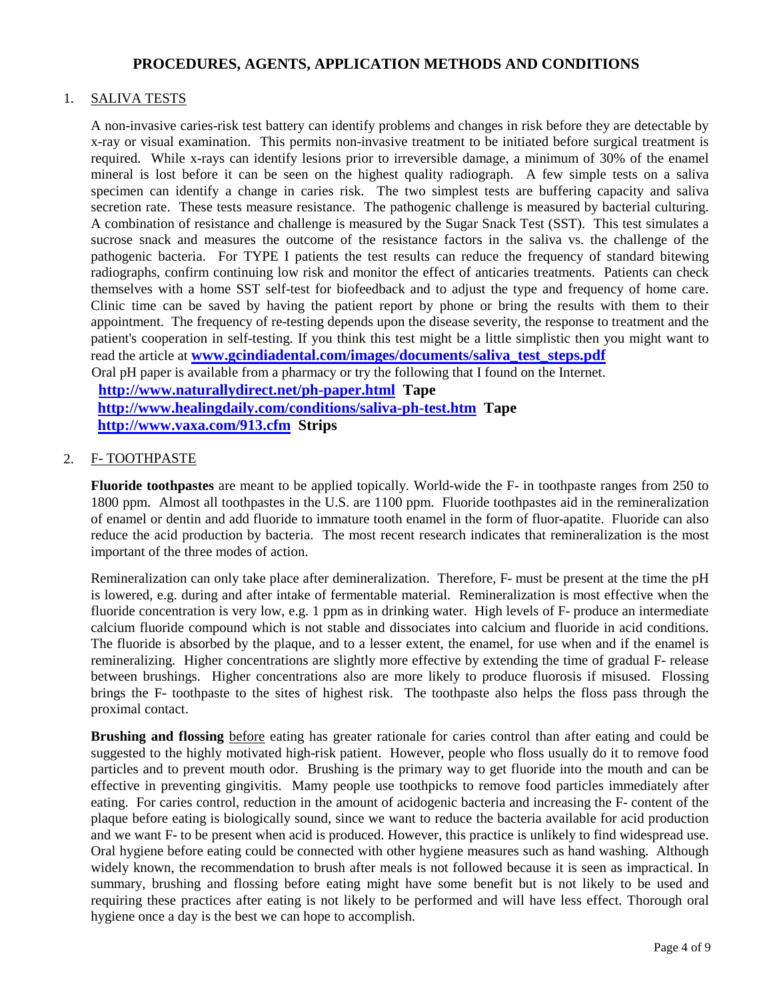# **PROCEDURES, AGENTS, APPLICATION METHODS AND CONDITIONS**

## 1. SALIVA TESTS

A non-invasive caries-risk test battery can identify problems and changes in risk before they are detectable by x-ray or visual examination. This permits non-invasive treatment to be initiated before surgical treatment is required. While x-rays can identify lesions prior to irreversible damage, a minimum of 30% of the enamel mineral is lost before it can be seen on the highest quality radiograph. A few simple tests on a saliva specimen can identify a change in caries risk. The two simplest tests are buffering capacity and saliva secretion rate. These tests measure resistance. The pathogenic challenge is measured by bacterial culturing. A combination of resistance and challenge is measured by the Sugar Snack Test (SST). This test simulates a sucrose snack and measures the outcome of the resistance factors in the saliva vs. the challenge of the pathogenic bacteria. For TYPE I patients the test results can reduce the frequency of standard bitewing radiographs, confirm continuing low risk and monitor the effect of anticaries treatments. Patients can check themselves with a home SST self-test for biofeedback and to adjust the type and frequency of home care. Clinic time can be saved by having the patient report by phone or bring the results with them to their appointment. The frequency of re-testing depends upon the disease severity, the response to treatment and the patient's cooperation in self-testing. If you think this test might be a little simplistic then you might want to read the article at **www.gcindiadental.com/images/documents/saliva** test steps.pdf Oral pH paper is available from a pharmacy or try the following that I found on the Internet.

 **<http://www.naturallydirect.net/ph-paper.html>Tape <http://www.healingdaily.com/conditions/saliva-ph-test.htm>Tape <http://www.vaxa.com/913.cfm>Strips**

## 2. F- TOOTHPASTE

**Fluoride toothpastes** are meant to be applied topically. World-wide the F- in toothpaste ranges from 250 to 1800 ppm. Almost all toothpastes in the U.S. are 1100 ppm. Fluoride toothpastes aid in the remineralization of enamel or dentin and add fluoride to immature tooth enamel in the form of fluor-apatite. Fluoride can also reduce the acid production by bacteria. The most recent research indicates that remineralization is the most important of the three modes of action.

Remineralization can only take place after demineralization. Therefore, F- must be present at the time the pH is lowered, e.g. during and after intake of fermentable material. Remineralization is most effective when the fluoride concentration is very low, e.g. 1 ppm as in drinking water. High levels of F- produce an intermediate calcium fluoride compound which is not stable and dissociates into calcium and fluoride in acid conditions. The fluoride is absorbed by the plaque, and to a lesser extent, the enamel, for use when and if the enamel is remineralizing. Higher concentrations are slightly more effective by extending the time of gradual F- release between brushings. Higher concentrations also are more likely to produce fluorosis if misused. Flossing brings the F- toothpaste to the sites of highest risk. The toothpaste also helps the floss pass through the proximal contact.

**Brushing and flossing** before eating has greater rationale for caries control than after eating and could be suggested to the highly motivated high-risk patient. However, people who floss usually do it to remove food particles and to prevent mouth odor. Brushing is the primary way to get fluoride into the mouth and can be effective in preventing gingivitis. Mamy people use toothpicks to remove food particles immediately after eating. For caries control, reduction in the amount of acidogenic bacteria and increasing the F- content of the plaque before eating is biologically sound, since we want to reduce the bacteria available for acid production and we want F- to be present when acid is produced. However, this practice is unlikely to find widespread use. Oral hygiene before eating could be connected with other hygiene measures such as hand washing. Although widely known, the recommendation to brush after meals is not followed because it is seen as impractical. In summary, brushing and flossing before eating might have some benefit but is not likely to be used and requiring these practices after eating is not likely to be performed and will have less effect. Thorough oral hygiene once a day is the best we can hope to accomplish.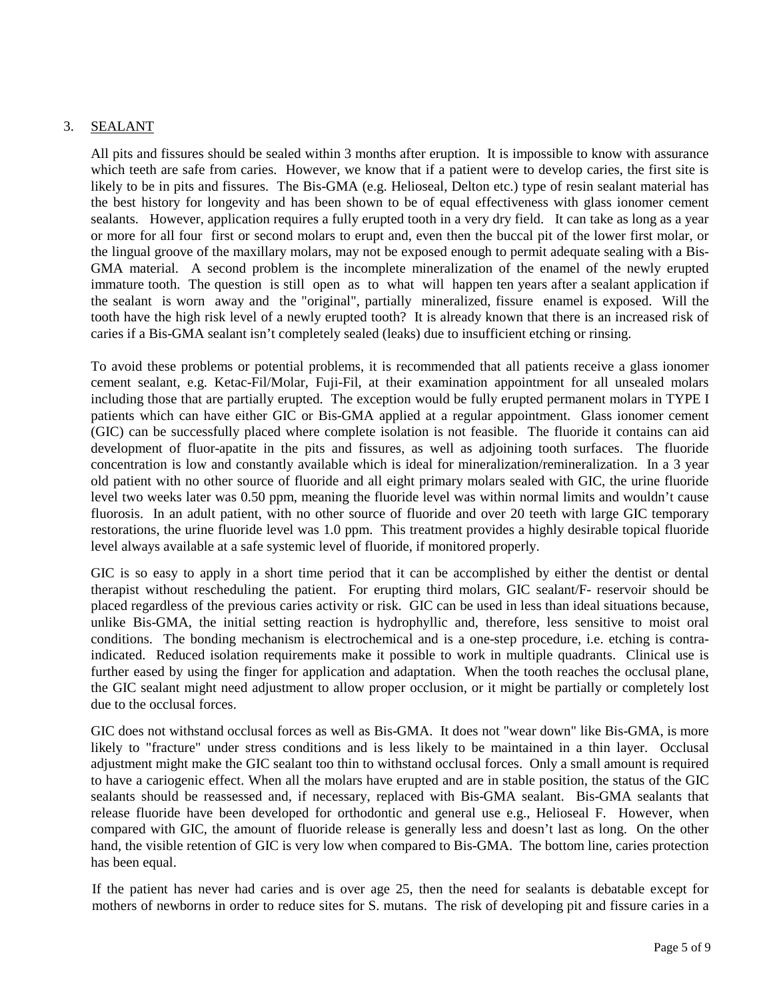# 3. SEALANT

All pits and fissures should be sealed within 3 months after eruption. It is impossible to know with assurance which teeth are safe from caries. However, we know that if a patient were to develop caries, the first site is likely to be in pits and fissures. The Bis-GMA (e.g. Helioseal, Delton etc.) type of resin sealant material has the best history for longevity and has been shown to be of equal effectiveness with glass ionomer cement sealants. However, application requires a fully erupted tooth in a very dry field. It can take as long as a year or more for all four first or second molars to erupt and, even then the buccal pit of the lower first molar, or the lingual groove of the maxillary molars, may not be exposed enough to permit adequate sealing with a Bis-GMA material. A second problem is the incomplete mineralization of the enamel of the newly erupted immature tooth. The question is still open as to what will happen ten years after a sealant application if the sealant is worn away and the "original", partially mineralized, fissure enamel is exposed. Will the tooth have the high risk level of a newly erupted tooth? It is already known that there is an increased risk of caries if a Bis-GMA sealant isn't completely sealed (leaks) due to insufficient etching or rinsing.

To avoid these problems or potential problems, it is recommended that all patients receive a glass ionomer cement sealant, e.g. Ketac-Fil/Molar, Fuji-Fil, at their examination appointment for all unsealed molars including those that are partially erupted. The exception would be fully erupted permanent molars in TYPE I patients which can have either GIC or Bis-GMA applied at a regular appointment. Glass ionomer cement (GIC) can be successfully placed where complete isolation is not feasible. The fluoride it contains can aid development of fluor-apatite in the pits and fissures, as well as adjoining tooth surfaces. The fluoride concentration is low and constantly available which is ideal for mineralization/remineralization. In a 3 year old patient with no other source of fluoride and all eight primary molars sealed with GIC, the urine fluoride level two weeks later was 0.50 ppm, meaning the fluoride level was within normal limits and wouldn't cause fluorosis. In an adult patient, with no other source of fluoride and over 20 teeth with large GIC temporary restorations, the urine fluoride level was 1.0 ppm. This treatment provides a highly desirable topical fluoride level always available at a safe systemic level of fluoride, if monitored properly.

GIC is so easy to apply in a short time period that it can be accomplished by either the dentist or dental therapist without rescheduling the patient. For erupting third molars, GIC sealant/F- reservoir should be placed regardless of the previous caries activity or risk. GIC can be used in less than ideal situations because, unlike Bis-GMA, the initial setting reaction is hydrophyllic and, therefore, less sensitive to moist oral conditions. The bonding mechanism is electrochemical and is a one-step procedure, i.e. etching is contraindicated. Reduced isolation requirements make it possible to work in multiple quadrants. Clinical use is further eased by using the finger for application and adaptation. When the tooth reaches the occlusal plane, the GIC sealant might need adjustment to allow proper occlusion, or it might be partially or completely lost due to the occlusal forces.

GIC does not withstand occlusal forces as well as Bis-GMA. It does not "wear down" like Bis-GMA, is more likely to "fracture" under stress conditions and is less likely to be maintained in a thin layer. Occlusal adjustment might make the GIC sealant too thin to withstand occlusal forces. Only a small amount is required to have a cariogenic effect. When all the molars have erupted and are in stable position, the status of the GIC sealants should be reassessed and, if necessary, replaced with Bis-GMA sealant. Bis-GMA sealants that release fluoride have been developed for orthodontic and general use e.g., Helioseal F. However, when compared with GIC, the amount of fluoride release is generally less and doesn't last as long. On the other hand, the visible retention of GIC is very low when compared to Bis-GMA. The bottom line, caries protection has been equal.

If the patient has never had caries and is over age 25, then the need for sealants is debatable except for mothers of newborns in order to reduce sites for S. mutans. The risk of developing pit and fissure caries in a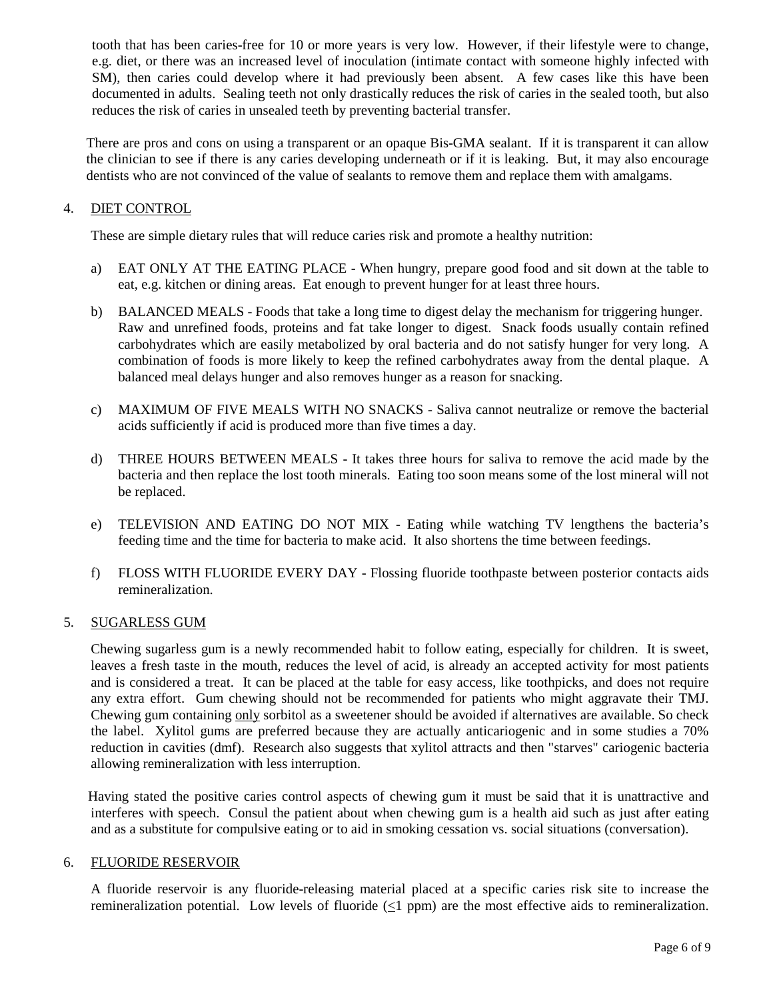tooth that has been caries-free for 10 or more years is very low. However, if their lifestyle were to change, e.g. diet, or there was an increased level of inoculation (intimate contact with someone highly infected with SM), then caries could develop where it had previously been absent. A few cases like this have been documented in adults. Sealing teeth not only drastically reduces the risk of caries in the sealed tooth, but also reduces the risk of caries in unsealed teeth by preventing bacterial transfer.

There are pros and cons on using a transparent or an opaque Bis-GMA sealant. If it is transparent it can allow the clinician to see if there is any caries developing underneath or if it is leaking. But, it may also encourage dentists who are not convinced of the value of sealants to remove them and replace them with amalgams.

# 4. DIET CONTROL

These are simple dietary rules that will reduce caries risk and promote a healthy nutrition:

- a) EAT ONLY AT THE EATING PLACE When hungry, prepare good food and sit down at the table to eat, e.g. kitchen or dining areas. Eat enough to prevent hunger for at least three hours.
- b) BALANCED MEALS Foods that take a long time to digest delay the mechanism for triggering hunger. Raw and unrefined foods, proteins and fat take longer to digest. Snack foods usually contain refined carbohydrates which are easily metabolized by oral bacteria and do not satisfy hunger for very long. A combination of foods is more likely to keep the refined carbohydrates away from the dental plaque. A balanced meal delays hunger and also removes hunger as a reason for snacking.
- c) MAXIMUM OF FIVE MEALS WITH NO SNACKS Saliva cannot neutralize or remove the bacterial acids sufficiently if acid is produced more than five times a day.
- d) THREE HOURS BETWEEN MEALS It takes three hours for saliva to remove the acid made by the bacteria and then replace the lost tooth minerals. Eating too soon means some of the lost mineral will not be replaced.
- e) TELEVISION AND EATING DO NOT MIX Eating while watching TV lengthens the bacteria's feeding time and the time for bacteria to make acid. It also shortens the time between feedings.
- f) FLOSS WITH FLUORIDE EVERY DAY Flossing fluoride toothpaste between posterior contacts aids remineralization.

## 5. SUGARLESS GUM

Chewing sugarless gum is a newly recommended habit to follow eating, especially for children. It is sweet, leaves a fresh taste in the mouth, reduces the level of acid, is already an accepted activity for most patients and is considered a treat. It can be placed at the table for easy access, like toothpicks, and does not require any extra effort. Gum chewing should not be recommended for patients who might aggravate their TMJ. Chewing gum containing only sorbitol as a sweetener should be avoided if alternatives are available. So check the label. Xylitol gums are preferred because they are actually anticariogenic and in some studies a 70% reduction in cavities (dmf). Research also suggests that xylitol attracts and then "starves" cariogenic bacteria allowing remineralization with less interruption.

 Having stated the positive caries control aspects of chewing gum it must be said that it is unattractive and interferes with speech. Consul the patient about when chewing gum is a health aid such as just after eating and as a substitute for compulsive eating or to aid in smoking cessation vs. social situations (conversation).

## 6. FLUORIDE RESERVOIR

A fluoride reservoir is any fluoride-releasing material placed at a specific caries risk site to increase the remineralization potential. Low levels of fluoride (<1 ppm) are the most effective aids to remineralization.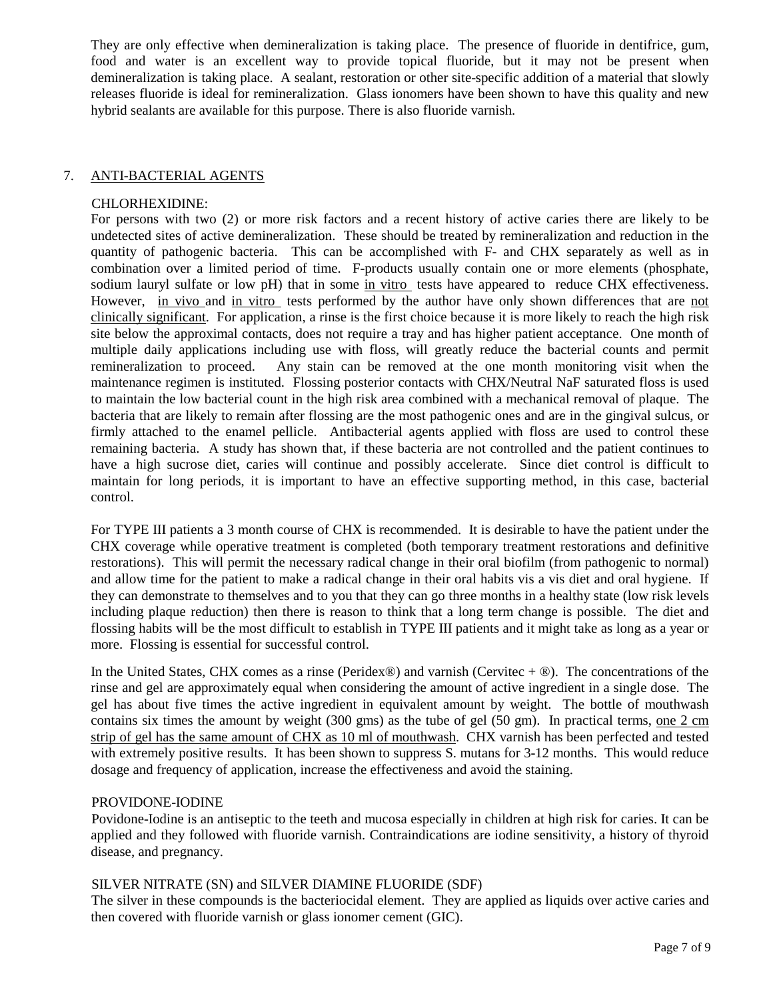They are only effective when demineralization is taking place. The presence of fluoride in dentifrice, gum, food and water is an excellent way to provide topical fluoride, but it may not be present when demineralization is taking place. A sealant, restoration or other site-specific addition of a material that slowly releases fluoride is ideal for remineralization. Glass ionomers have been shown to have this quality and new hybrid sealants are available for this purpose. There is also fluoride varnish.

## 7. ANTI-BACTERIAL AGENTS

#### CHLORHEXIDINE:

For persons with two (2) or more risk factors and a recent history of active caries there are likely to be undetected sites of active demineralization. These should be treated by remineralization and reduction in the quantity of pathogenic bacteria. This can be accomplished with F- and CHX separately as well as in combination over a limited period of time. F-products usually contain one or more elements (phosphate, sodium lauryl sulfate or low pH) that in some in vitro tests have appeared to reduce CHX effectiveness. However, in vivo and in vitro tests performed by the author have only shown differences that are not clinically significant. For application, a rinse is the first choice because it is more likely to reach the high risk site below the approximal contacts, does not require a tray and has higher patient acceptance. One month of multiple daily applications including use with floss, will greatly reduce the bacterial counts and permit remineralization to proceed. Any stain can be removed at the one month monitoring visit when the maintenance regimen is instituted. Flossing posterior contacts with CHX/Neutral NaF saturated floss is used to maintain the low bacterial count in the high risk area combined with a mechanical removal of plaque. The bacteria that are likely to remain after flossing are the most pathogenic ones and are in the gingival sulcus, or firmly attached to the enamel pellicle. Antibacterial agents applied with floss are used to control these remaining bacteria. A study has shown that, if these bacteria are not controlled and the patient continues to have a high sucrose diet, caries will continue and possibly accelerate. Since diet control is difficult to maintain for long periods, it is important to have an effective supporting method, in this case, bacterial control.

For TYPE III patients a 3 month course of CHX is recommended. It is desirable to have the patient under the CHX coverage while operative treatment is completed (both temporary treatment restorations and definitive restorations). This will permit the necessary radical change in their oral biofilm (from pathogenic to normal) and allow time for the patient to make a radical change in their oral habits vis a vis diet and oral hygiene. If they can demonstrate to themselves and to you that they can go three months in a healthy state (low risk levels including plaque reduction) then there is reason to think that a long term change is possible. The diet and flossing habits will be the most difficult to establish in TYPE III patients and it might take as long as a year or more. Flossing is essential for successful control.

In the United States, CHX comes as a rinse (Peridex®) and varnish (Cervitec  $+ \circledR$ ). The concentrations of the rinse and gel are approximately equal when considering the amount of active ingredient in a single dose. The gel has about five times the active ingredient in equivalent amount by weight. The bottle of mouthwash contains six times the amount by weight (300 gms) as the tube of gel (50 gm). In practical terms, one 2 cm strip of gel has the same amount of CHX as 10 ml of mouthwash. CHX varnish has been perfected and tested with extremely positive results. It has been shown to suppress S. mutans for  $3-12$  months. This would reduce dosage and frequency of application, increase the effectiveness and avoid the staining.

#### PROVIDONE-IODINE

 Povidone-Iodine is an antiseptic to the teeth and mucosa especially in children at high risk for caries. It can be applied and they followed with fluoride varnish. Contraindications are iodine sensitivity, a history of thyroid disease, and pregnancy.

#### SILVER NITRATE (SN) and SILVER DIAMINE FLUORIDE (SDF)

 The silver in these compounds is the bacteriocidal element. They are applied as liquids over active caries and then covered with fluoride varnish or glass ionomer cement (GIC).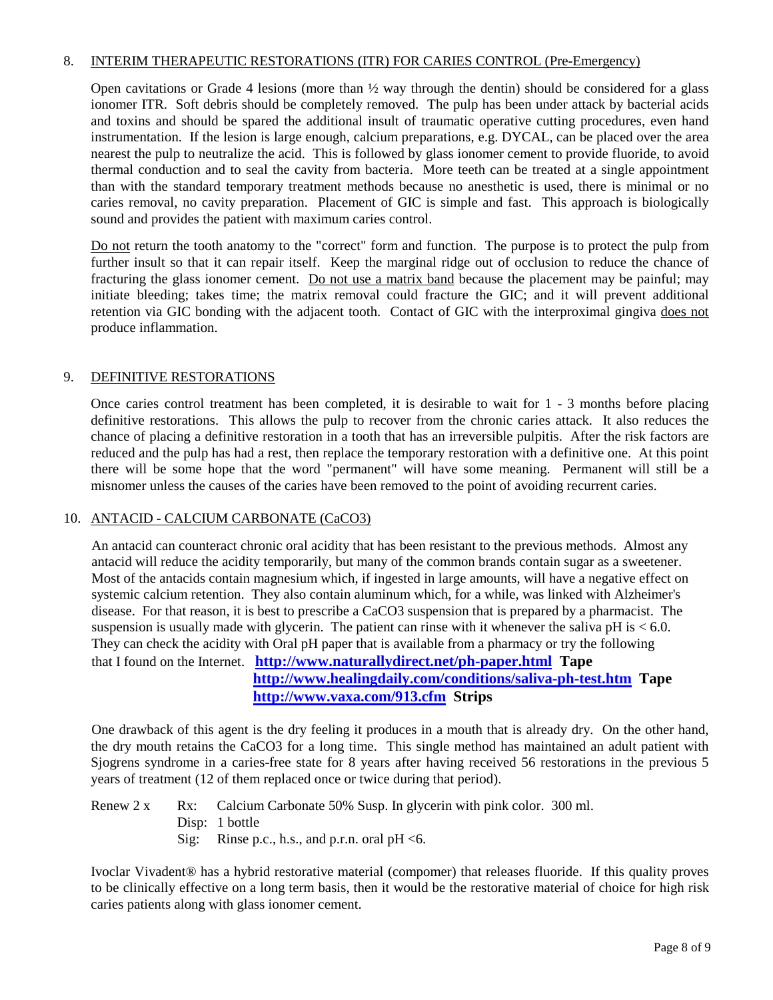#### 8. INTERIM THERAPEUTIC RESTORATIONS (ITR) FOR CARIES CONTROL (Pre-Emergency)

Open cavitations or Grade 4 lesions (more than  $\frac{1}{2}$  way through the dentin) should be considered for a glass ionomer ITR. Soft debris should be completely removed. The pulp has been under attack by bacterial acids and toxins and should be spared the additional insult of traumatic operative cutting procedures, even hand instrumentation. If the lesion is large enough, calcium preparations, e.g. DYCAL, can be placed over the area nearest the pulp to neutralize the acid. This is followed by glass ionomer cement to provide fluoride, to avoid thermal conduction and to seal the cavity from bacteria. More teeth can be treated at a single appointment than with the standard temporary treatment methods because no anesthetic is used, there is minimal or no caries removal, no cavity preparation. Placement of GIC is simple and fast. This approach is biologically sound and provides the patient with maximum caries control.

Do not return the tooth anatomy to the "correct" form and function. The purpose is to protect the pulp from further insult so that it can repair itself. Keep the marginal ridge out of occlusion to reduce the chance of fracturing the glass ionomer cement. Do not use a matrix band because the placement may be painful; may initiate bleeding; takes time; the matrix removal could fracture the GIC; and it will prevent additional retention via GIC bonding with the adjacent tooth. Contact of GIC with the interproximal gingiva does not produce inflammation.

## 9. DEFINITIVE RESTORATIONS

Once caries control treatment has been completed, it is desirable to wait for 1 - 3 months before placing definitive restorations. This allows the pulp to recover from the chronic caries attack. It also reduces the chance of placing a definitive restoration in a tooth that has an irreversible pulpitis. After the risk factors are reduced and the pulp has had a rest, then replace the temporary restoration with a definitive one. At this point there will be some hope that the word "permanent" will have some meaning. Permanent will still be a misnomer unless the causes of the caries have been removed to the point of avoiding recurrent caries.

## 10. ANTACID - CALCIUM CARBONATE (CaCO3)

 An antacid can counteract chronic oral acidity that has been resistant to the previous methods. Almost any antacid will reduce the acidity temporarily, but many of the common brands contain sugar as a sweetener. Most of the antacids contain magnesium which, if ingested in large amounts, will have a negative effect on systemic calcium retention. They also contain aluminum which, for a while, was linked with Alzheimer's disease. For that reason, it is best to prescribe a CaCO3 suspension that is prepared by a pharmacist. The suspension is usually made with glycerin. The patient can rinse with it whenever the saliva pH is  $< 6.0$ . They can check the acidity with Oral pH paper that is available from a pharmacy or try the following that I found on the Internet. **<http://www.naturallydirect.net/ph-paper.html>Tape**

 **<http://www.healingdaily.com/conditions/saliva-ph-test.htm>Tape <http://www.vaxa.com/913.cfm>Strips**

 One drawback of this agent is the dry feeling it produces in a mouth that is already dry. On the other hand, the dry mouth retains the CaCO3 for a long time. This single method has maintained an adult patient with Sjogrens syndrome in a caries-free state for 8 years after having received 56 restorations in the previous 5 years of treatment (12 of them replaced once or twice during that period).

Renew 2 x Rx: Calcium Carbonate 50% Susp. In glycerin with pink color. 300 ml. Disp: 1 bottle Sig: Rinse p.c., h.s., and p.r.n. oral pH <6.

Ivoclar Vivadent® has a hybrid restorative material (compomer) that releases fluoride. If this quality proves to be clinically effective on a long term basis, then it would be the restorative material of choice for high risk caries patients along with glass ionomer cement.